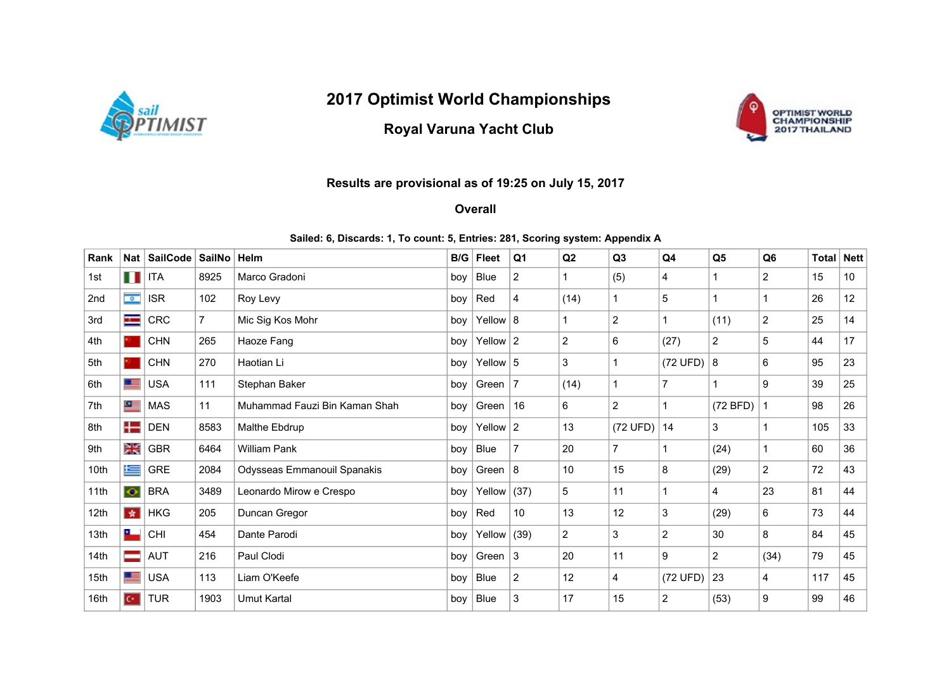

## 2017 Optimist World Championships

## Royal Varuna Yacht Club



## Results are provisional as of 19:25 on July 15, 2017

**Overall** 

## Sailed: 6, Discards: 1, To count: 5, Entries: 281, Scoring system: Appendix A

| Rank | Nat       | SailCode           | <b>SailNo</b>  | Helm                          | B/G | <b>Fleet</b>  | Q <sub>1</sub>  | Q2             | Q3             | Q <sub>4</sub> | Q <sub>5</sub> | Q <sub>6</sub> | Total | <b>Nett</b>      |
|------|-----------|--------------------|----------------|-------------------------------|-----|---------------|-----------------|----------------|----------------|----------------|----------------|----------------|-------|------------------|
| 1st  |           | $\blacksquare$ ITA | 8925           | Marco Gradoni                 | boy | Blue          | $\overline{c}$  |                | (5)            | 4              | 1              | $\overline{2}$ | 15    | 10 <sup>°</sup>  |
| 2nd  | $\bullet$ | <b>ISR</b>         | 102            | Roy Levy                      | boy | Red           | $\overline{4}$  | (14)           |                | 5              | 1              |                | 26    | 12 <sup>12</sup> |
| 3rd  | H         | <b>CRC</b>         | $\overline{7}$ | Mic Sig Kos Mohr              | boy | Yellow $ 8$   |                 |                | 2              |                | (11)           | $\overline{2}$ | 25    | 14               |
| 4th  |           | <b>CHN</b>         | 265            | Haoze Fang                    | boy | Yellow $ 2$   |                 | $\overline{2}$ | 6              | (27)           | $\overline{2}$ | 5              | 44    | 17               |
| 5th  |           | <b>CHN</b>         | 270            | Haotian Li                    | boy | Yellow $ 5$   |                 | 3              |                | (72 UFD)       | 8              | 6              | 95    | 23               |
| 6th  | 트         | <b>USA</b>         | 111            | Stephan Baker                 | boy | Green         | $\overline{7}$  | (14)           |                | $\overline{7}$ | 1              | 9              | 39    | 25               |
| 7th  | $\bullet$ | <b>MAS</b>         | 11             | Muhammad Fauzi Bin Kaman Shah | boy | Green         | 16              | 6              | $\overline{2}$ |                | (72 BFD)       |                | 98    | 26               |
| 8th  | ╄═        | <b>DEN</b>         | 8583           | Malthe Ebdrup                 | boy | Yellow $ 2$   |                 | 13             | (72 UFD)       | 14             | 3              |                | 105   | 33               |
| 9th  | ЖŠ        | <b>GBR</b>         | 6464           | <b>William Pank</b>           | boy | <b>Blue</b>   | $\overline{7}$  | 20             | $\overline{7}$ |                | (24)           |                | 60    | 36               |
| 10th | 隼         | <b>GRE</b>         | 2084           | Odysseas Emmanouil Spanakis   | boy | Green $ 8 $   |                 | 10             | 15             | 8              | (29)           | $\overline{2}$ | 72    | 43               |
| 11th | $\bullet$ | <b>BRA</b>         | 3489           | Leonardo Mirow e Crespo       | boy | Yellow $(37)$ |                 | 5              | 11             |                | 4              | 23             | 81    | 44               |
| 12th | 女         | <b>HKG</b>         | 205            | Duncan Gregor                 | boy | Red           | 10 <sup>°</sup> | 13             | 12             | 3              | (29)           | 6              | 73    | 44               |
| 13th | ᅠ         | <b>CHI</b>         | 454            | Dante Parodi                  | boy | Yellow $(39)$ |                 | $\overline{2}$ | 3              | $\overline{2}$ | 30             | 8              | 84    | 45               |
| 14th |           | <b>AUT</b>         | 216            | Paul Clodi                    | boy | Green $ 3 $   |                 | 20             | 11             | 9              | $\overline{c}$ | (34)           | 79    | 45               |
| 15th | 里         | <b>USA</b>         | 113            | Liam O'Keefe                  | boy | Blue          | $\overline{2}$  | 12             | 4              | (72 UFD)       | 23             | 4              | 117   | 45               |
| 16th | $C^*$     | <b>TUR</b>         | 1903           | <b>Umut Kartal</b>            | boy | <b>Blue</b>   | 3               | 17             | 15             | $\overline{2}$ | (53)           | 9              | 99    | 46               |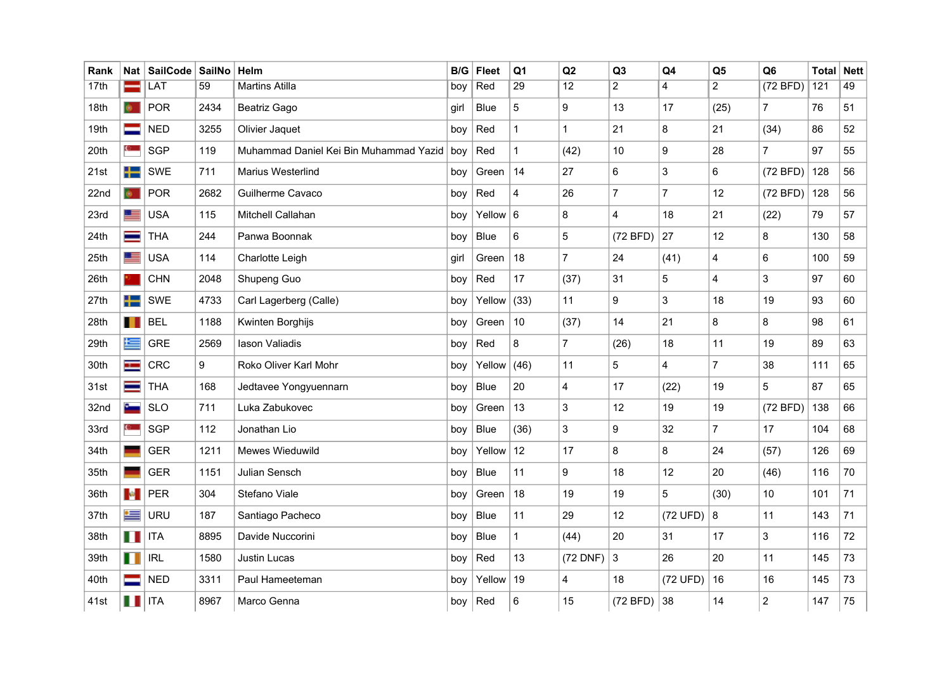| Rank             | Nat           | SailCode   SailNo   Helm |      |                                              | B/G  | <b>Fleet</b>  | Q <sub>1</sub> | Q2              | Q <sub>3</sub> | Q4             | Q <sub>5</sub> | Q <sub>6</sub>  | <b>Total</b> | <b>Nett</b> |
|------------------|---------------|--------------------------|------|----------------------------------------------|------|---------------|----------------|-----------------|----------------|----------------|----------------|-----------------|--------------|-------------|
| 17 <sub>th</sub> |               | LAT                      | 59   | <b>Martins Atilla</b>                        | boy  | Red           | 29             | $\overline{12}$ | $\overline{2}$ | $\overline{4}$ | $\overline{a}$ | (72 BFD)        | 121          | 49          |
| 18th             | $\bullet$     | <b>POR</b>               | 2434 | Beatriz Gago                                 | girl | Blue          | 5              | 9               | 13             | 17             | (25)           | $\overline{7}$  | 76           | 51          |
| 19th             |               | <b>NED</b>               | 3255 | Olivier Jaquet                               | boy  | Red           | $\mathbf{1}$   | $\mathbf{1}$    | 21             | 8              | 21             | (34)            | 86           | 52          |
| 20th             |               | <b>SGP</b>               | 119  | Muhammad Daniel Kei Bin Muhammad Yazid   boy |      | Red           | $\mathbf{1}$   | (42)            | 10             | 9              | 28             | $\overline{7}$  | 97           | 55          |
| 21st             | ╈═            | SWE                      | 711  | <b>Marius Westerlind</b>                     | boy  | Green         | 14             | 27              | 6              | 3              | 6              | (72 BFD)        | 128          | 56          |
| 22nd             | $\bullet$     | <b>POR</b>               | 2682 | Guilherme Cavaco                             | boy  | Red           | $\overline{4}$ | 26              | $\overline{7}$ | $\overline{7}$ | 12             | (72 BFD)        | 128          | 56          |
| 23rd             | <u>r se</u>   | <b>USA</b>               | 115  | Mitchell Callahan                            | boy  | Yellow $6$    |                | 8               | $\overline{4}$ | 18             | 21             | (22)            | 79           | 57          |
| 24th             |               | <b>THA</b>               | 244  | Panwa Boonnak                                | boy  | Blue          | $6\phantom{1}$ | 5               | (72 BFD)       | 27             | 12             | 8               | 130          | 58          |
| 25th             | ▀             | <b>USA</b>               | 114  | Charlotte Leigh                              | girl | Green         | 18             | $\overline{7}$  | 24             | (41)           | 4              | $6\phantom{a}$  | 100          | 59          |
| 26th             |               | <b>CHN</b>               | 2048 | Shupeng Guo                                  | boy  | Red           | 17             | (37)            | 31             | 5              | $\overline{4}$ | $\mathbf{3}$    | 97           | 60          |
| 27th             | ╄═            | SWE                      | 4733 | Carl Lagerberg (Calle)                       | boy  | Yellow $(33)$ |                | 11              | 9              | 3              | 18             | 19              | 93           | 60          |
| 28th             | Ш             | <b>BEL</b>               | 1188 | Kwinten Borghijs                             | boy  | Green         | 10             | (37)            | 14             | 21             | 8              | 8               | 98           | 61          |
| 29th             | 隼             | <b>GRE</b>               | 2569 | lason Valiadis                               | boy  | Red           | 8              | $\overline{7}$  | (26)           | 18             | 11             | 19              | 89           | 63          |
| 30th             | ш.            | <b>CRC</b>               | 9    | Roko Oliver Karl Mohr                        | boy  | Yellow $(46)$ |                | 11              | 5              | $\overline{4}$ | $\overline{7}$ | 38              | 111          | 65          |
| 31st             | ═             | <b>THA</b>               | 168  | Jedtavee Yongyuennarn                        | boy  | <b>Blue</b>   | 20             | 4               | 17             | (22)           | 19             | 5               | 87           | 65          |
| 32nd             | $c_{\rm max}$ | <b>SLO</b>               | 711  | Luka Zabukovec                               | boy  | Green         | 13             | 3               | 12             | 19             | 19             | (72 BFD)        | 138          | 66          |
| 33rd             |               | <b>SGP</b>               | 112  | Jonathan Lio                                 | boy  | Blue          | (36)           | 3               | 9              | 32             | $\mathbf{7}$   | 17              | 104          | 68          |
| 34th             |               | <b>GER</b>               | 1211 | Mewes Wieduwild                              | boy  | Yellow        | 12             | 17              | 8              | 8              | 24             | (57)            | 126          | 69          |
| 35th             |               | <b>GER</b>               | 1151 | Julian Sensch                                | boy  | Blue          | 11             | 9               | 18             | 12             | 20             | (46)            | 116          | 70          |
| 36th             | <b>Le</b>     | <b>PER</b>               | 304  | Stefano Viale                                | boy  | Green         | 18             | 19              | 19             | 5              | (30)           | 10 <sup>1</sup> | 101          | 71          |
| 37th             | ≔             | <b>URU</b>               | 187  | Santiago Pacheco                             | boy  | Blue          | 11             | 29              | 12             | (72 UFD)       | 8              | 11              | 143          | 71          |
| 38th             | H H           | <b>ITA</b>               | 8895 | Davide Nuccorini                             | boy  | Blue          | $\mathbf{1}$   | (44)            | 20             | 31             | 17             | 3               | 116          | 72          |
| 39th             | Ш             | <b>IRL</b>               | 1580 | Justin Lucas                                 | boy  | Red           | 13             | (72 DNF)        | $\mathbf{3}$   | 26             | 20             | 11              | 145          | 73          |
| 40th             |               | <b>NED</b>               | 3311 | Paul Hameeteman                              | boy  | Yellow        | $ 19\rangle$   | 4               | 18             | (72 UFD)       | 16             | 16              | 145          | 73          |
| 41st             |               | <b>ITA</b>               | 8967 | Marco Genna                                  |      | boy $ Red$    | $\,6\,$        | 15              | $(72 BFD)$ 38  |                | 14             | $\overline{c}$  | 147          | $75\,$      |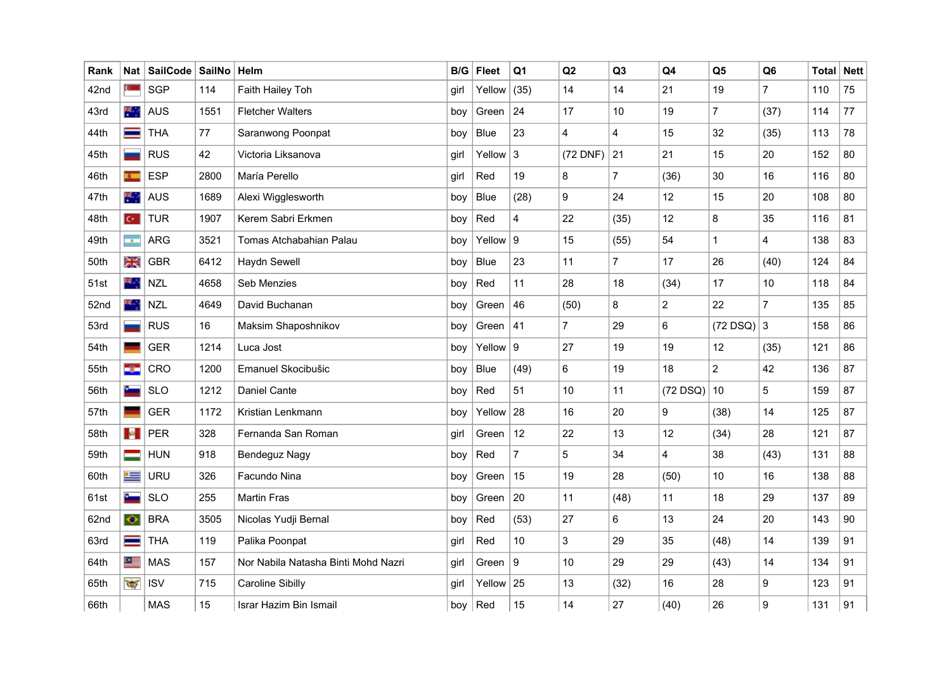| Rank | Nat            | SailCode SailNo |      | Helm                                | B/G  | <b>Fleet</b> | Q <sub>1</sub>   | Q2             | Q3             | Q <sub>4</sub> | Q <sub>5</sub> | Q <sub>6</sub> | <b>Total Nett</b> |    |
|------|----------------|-----------------|------|-------------------------------------|------|--------------|------------------|----------------|----------------|----------------|----------------|----------------|-------------------|----|
| 42nd | $\mathbb{C}$   | SGP             | 114  | Faith Hailey Toh                    | girl | Yellow       | (35)             | 14             | 14             | 21             | 19             | $\overline{7}$ | 110               | 75 |
| 43rd | 来。             | AUS             | 1551 | <b>Fletcher Walters</b>             | boy  | Green        | 24               | 17             | 10             | 19             | $\overline{7}$ | (37)           | 114               | 77 |
| 44th | ═              | <b>THA</b>      | 77   | Saranwong Poonpat                   | boy  | Blue         | 23               | 4              | 4              | 15             | 32             | (35)           | 113               | 78 |
| 45th |                | <b>RUS</b>      | 42   | Victoria Liksanova                  | girl | Yellow       | $\mathbf{3}$     | $(72$ DNF)     | 21             | 21             | 15             | 20             | 152               | 80 |
| 46th | 30             | <b>ESP</b>      | 2800 | María Perello                       | girl | Red          | 19               | 8              | 7              | (36)           | 30             | 16             | 116               | 80 |
| 47th | 茶              | <b>AUS</b>      | 1689 | Alexi Wigglesworth                  | boy  | <b>Blue</b>  | (28)             | 9              | 24             | 12             | 15             | 20             | 108               | 80 |
| 48th | $\mathbb{C}^*$ | <b>TUR</b>      | 1907 | Kerem Sabri Erkmen                  | boy  | Red          | $\overline{4}$   | 22             | (35)           | 12             | 8              | 35             | 116               | 81 |
| 49th | m.             | <b>ARG</b>      | 3521 | Tomas Atchabahian Palau             | boy  | Yellow       | $\boldsymbol{9}$ | 15             | (55)           | 54             | $\mathbf{1}$   | 4              | 138               | 83 |
| 50th | ΣΚ             | <b>GBR</b>      | 6412 | Haydn Sewell                        | boy  | <b>Blue</b>  | 23               | 11             | $\overline{7}$ | 17             | 26             | (40)           | 124               | 84 |
| 51st | 楽し             | <b>NZL</b>      | 4658 | Seb Menzies                         | boy  | Red          | 11               | 28             | 18             | (34)           | 17             | 10             | 118               | 84 |
| 52nd | 横动             | <b>NZL</b>      | 4649 | David Buchanan                      | boy  | Green        | 46               | (50)           | 8              | $\overline{2}$ | 22             | $\overline{7}$ | 135               | 85 |
| 53rd |                | <b>RUS</b>      | 16   | Maksim Shaposhnikov                 | boy  | Green        | 41               | $\overline{7}$ | 29             | 6              | $(72$ DSQ)     | 3              | 158               | 86 |
| 54th |                | <b>GER</b>      | 1214 | Luca Jost                           | boy  | Yellow $ 9$  |                  | 27             | 19             | 19             | 12             | (35)           | 121               | 86 |
| 55th | -34            | CRO             | 1200 | Emanuel Skocibušic                  | boy  | <b>Blue</b>  | (49)             | 6              | 19             | 18             | $\overline{a}$ | 42             | 136               | 87 |
| 56th | ست             | <b>SLO</b>      | 1212 | Daniel Cante                        | boy  | Red          | 51               | 10             | 11             | $(72$ DSQ)     | 10             | 5              | 159               | 87 |
| 57th |                | <b>GER</b>      | 1172 | Kristian Lenkmann                   | boy  | Yellow       | 28               | 16             | 20             | 9              | (38)           | 14             | 125               | 87 |
| 58th | $\mathbf{R}$   | <b>PER</b>      | 328  | Fernanda San Roman                  | girl | Green        | 12               | 22             | 13             | 12             | (34)           | 28             | 121               | 87 |
| 59th |                | <b>HUN</b>      | 918  | <b>Bendeguz Nagy</b>                | boy  | Red          | $\overline{7}$   | 5              | 34             | $\overline{4}$ | 38             | (43)           | 131               | 88 |
| 60th | ≔              | <b>URU</b>      | 326  | Facundo Nina                        | boy  | Green        | 15               | 19             | 28             | (50)           | 10             | 16             | 138               | 88 |
| 61st |                | <b>SLO</b>      | 255  | <b>Martin Fras</b>                  | boy  | Green        | 20               | 11             | (48)           | 11             | 18             | 29             | 137               | 89 |
| 62nd | $\bullet$      | <b>BRA</b>      | 3505 | Nicolas Yudji Bernal                | boy  | Red          | (53)             | 27             | 6              | 13             | 24             | 20             | 143               | 90 |
| 63rd | ═              | <b>THA</b>      | 119  | Palika Poonpat                      | girl | Red          | 10               | 3              | 29             | 35             | (48)           | 14             | 139               | 91 |
| 64th | $\bullet$      | <b>MAS</b>      | 157  | Nor Nabila Natasha Binti Mohd Nazri | girl | Green        | $\boldsymbol{9}$ | 10             | 29             | 29             | (43)           | 14             | 134               | 91 |
| 65th | राज            | <b>ISV</b>      | 715  | <b>Caroline Sibilly</b>             | girl | Yellow $25$  |                  | 13             | (32)           | 16             | 28             | 9              | 123               | 91 |
| 66th |                | <b>MAS</b>      | 15   | Israr Hazim Bin Ismail              | boy  | Red          | 15               | 14             | 27             | (40)           | 26             | 9              | 131               | 91 |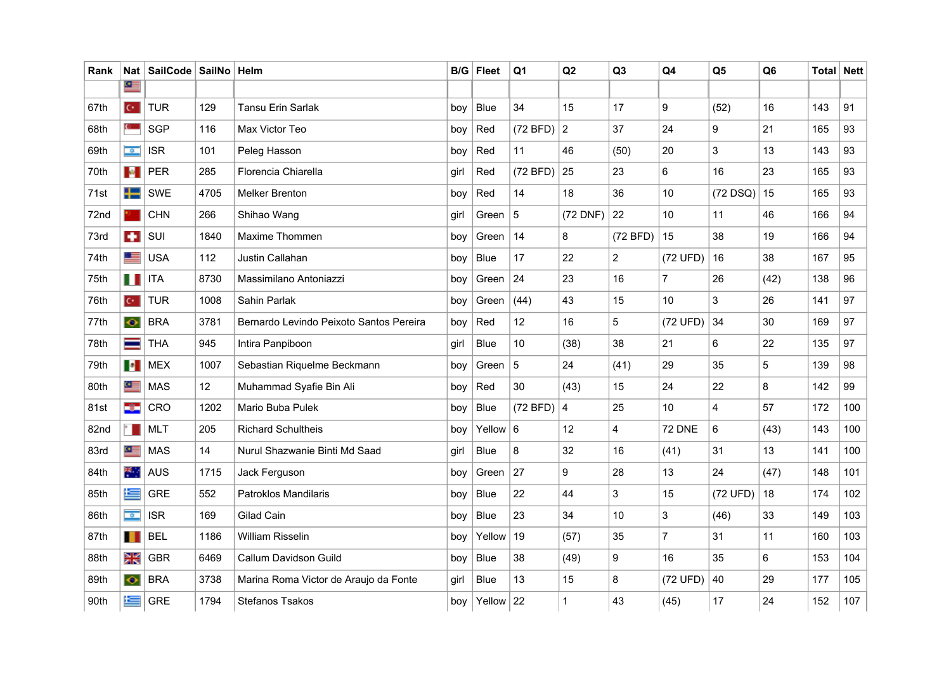| Rank | Nat                        | SailCode   SailNo   Helm |      |                                         |      | $B/G$ Fleet | Q1             | Q <sub>2</sub>  | Q <sub>3</sub> | Q <sub>4</sub>  | Q <sub>5</sub> | Q <sub>6</sub> | Total   Nett |     |
|------|----------------------------|--------------------------|------|-----------------------------------------|------|-------------|----------------|-----------------|----------------|-----------------|----------------|----------------|--------------|-----|
|      | $\Omega$                   |                          |      |                                         |      |             |                |                 |                |                 |                |                |              |     |
| 67th | $\mathbb{C}^*$             | <b>TUR</b>               | 129  | Tansu Erin Sarlak                       | bov  | <b>Blue</b> | 34             | 15              | 17             | 9               | (52)           | 16             | 143          | 91  |
| 68th | $\mathbf{C}$               | <b>SGP</b>               | 116  | Max Victor Teo                          | boy  | Red         | (72 BFD)       | $\overline{2}$  | 37             | 24              | 9              | 21             | 165          | 93  |
| 69th | $\bullet$                  | <b>ISR</b>               | 101  | Peleg Hasson                            | boy  | Red         | 11             | 46              | (50)           | 20              | 3              | 13             | 143          | 93  |
| 70th | $\mathcal{M}_\mathrm{eff}$ | <b>PER</b>               | 285  | Florencia Chiarella                     | girl | Red         | (72 BFD)       | 25              | 23             | 6               | 16             | 23             | 165          | 93  |
| 71st | ┿═                         | SWE                      | 4705 | <b>Melker Brenton</b>                   | boy  | Red         | 14             | 18              | 36             | 10 <sup>°</sup> | $(72$ DSQ)     | 15             | 165          | 93  |
| 72nd |                            | <b>CHN</b>               | 266  | Shihao Wang                             | girl | Green       | 5              | (72 DNF)        | 22             | 10              | 11             | 46             | 166          | 94  |
| 73rd | ÷                          | SUI                      | 1840 | Maxime Thommen                          | boy  | Green       | 14             | 8               | (72 BFD)       | 15              | 38             | 19             | 166          | 94  |
| 74th | 里                          | <b>USA</b>               | 112  | Justin Callahan                         | boy  | <b>Blue</b> | 17             | 22              | $\overline{a}$ | (72 UFD)        | 16             | 38             | 167          | 95  |
| 75th | H                          | <b>ITA</b>               | 8730 | Massimilano Antoniazzi                  | boy  | Green       | 24             | 23              | 16             | $\overline{7}$  | 26             | (42)           | 138          | 96  |
| 76th | $\mathbb{C}^*$             | <b>TUR</b>               | 1008 | Sahin Parlak                            | boy  | Green       | (44)           | 43              | 15             | 10              | 3              | 26             | 141          | 97  |
| 77th | $\bullet$                  | <b>BRA</b>               | 3781 | Bernardo Levindo Peixoto Santos Pereira | boy  | Red         | 12             | 16              | 5              | (72 UFD)        | 34             | 30             | 169          | 97  |
| 78th | $\equiv$                   | <b>THA</b>               | 945  | Intira Panpiboon                        | girl | <b>Blue</b> | 10             | (38)            | 38             | 21              | 6              | 22             | 135          | 97  |
| 79th | $\blacksquare$             | <b>MEX</b>               | 1007 | Sebastian Riquelme Beckmann             | boy  | Green       | $\overline{5}$ | 24              | (41)           | 29              | 35             | 5              | 139          | 98  |
| 80th | Q.                         | <b>MAS</b>               | 12   | Muhammad Syafie Bin Ali                 | boy  | Red         | 30             | (43)            | 15             | 24              | 22             | 8              | 142          | 99  |
| 81st | ÷                          | CRO                      | 1202 | Mario Buba Pulek                        | bov  | <b>Blue</b> | (72 BFD)       | $\overline{4}$  | 25             | 10 <sup>1</sup> | 4              | 57             | 172          | 100 |
| 82nd | $\sim$                     | <b>MLT</b>               | 205  | <b>Richard Schultheis</b>               | boy  | Yellow $6$  |                | 12 <sup>°</sup> | 4              | <b>72 DNE</b>   | 6              | (43)           | 143          | 100 |
| 83rd | G.                         | <b>MAS</b>               | 14   | Nurul Shazwanie Binti Md Saad           | girl | <b>Blue</b> | 8              | 32              | 16             | (41)            | 31             | 13             | 141          | 100 |
| 84th | 来. .                       | <b>AUS</b>               | 1715 | Jack Ferguson                           | boy  | Green       | 27             | 9               | 28             | 13              | 24             | (47)           | 148          | 101 |
| 85th | 隼                          | <b>GRE</b>               | 552  | Patroklos Mandilaris                    | boy  | <b>Blue</b> | 22             | 44              | 3              | 15              | (72 UFD)       | 18             | 174          | 102 |
| 86th | $\overline{\bullet}$       | <b>ISR</b>               | 169  | Gilad Cain                              | boy  | <b>Blue</b> | 23             | 34              | 10             | 3               | (46)           | 33             | 149          | 103 |
| 87th | $\blacksquare$             | <b>BEL</b>               | 1186 | <b>William Risselin</b>                 | boy  | Yellow      | 19             | (57)            | 35             | $\overline{7}$  | 31             | 11             | 160          | 103 |
| 88th | ≳κ                         | <b>GBR</b>               | 6469 | Callum Davidson Guild                   | boy  | Blue        | 38             | (49)            | 9              | 16              | 35             | 6              | 153          | 104 |
| 89th | $\bullet$                  | <b>BRA</b>               | 3738 | Marina Roma Victor de Araujo da Fonte   | girl | <b>Blue</b> | 13             | 15              | 8              | (72 UFD)        | 40             | 29             | 177          | 105 |
| 90th | 运                          | <b>GRE</b>               | 1794 | <b>Stefanos Tsakos</b>                  | boy  | Yellow $22$ |                | $\mathbf 1$     | 43             | (45)            | 17             | 24             | 152          | 107 |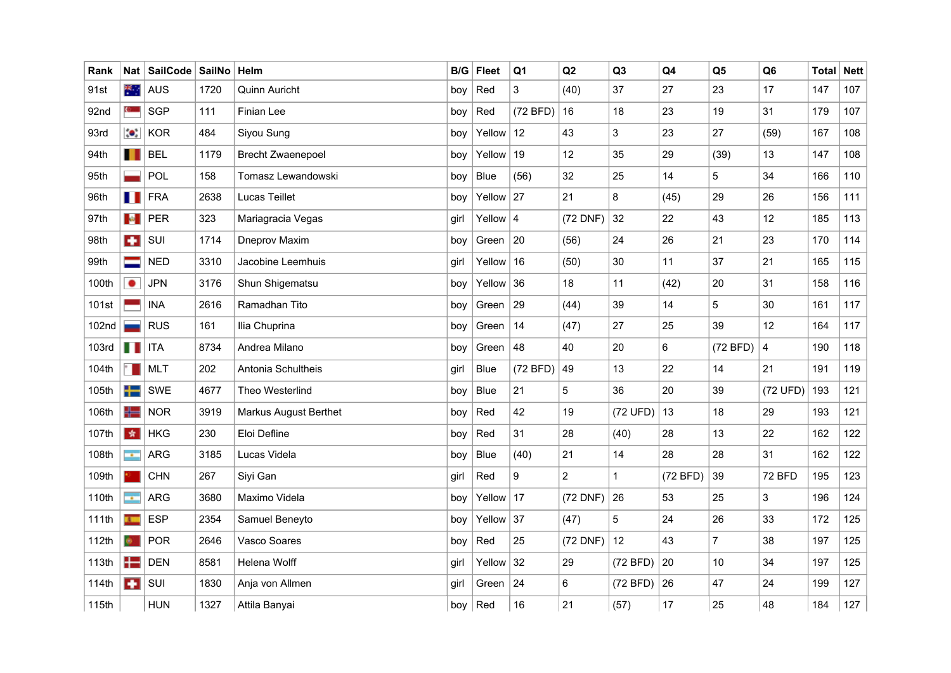| Rank  | Nat                         | SailCode SailNo |      | Helm                         | B/G  | <b>Fleet</b> | Q <sub>1</sub> | Q2             | Q3           | Q <sub>4</sub> | Q <sub>5</sub> | Q <sub>6</sub> | Total | <b>Nett</b> |
|-------|-----------------------------|-----------------|------|------------------------------|------|--------------|----------------|----------------|--------------|----------------|----------------|----------------|-------|-------------|
| 91st  | 来                           | AUS             | 1720 | Quinn Auricht                | boy  | Red          | $\mathbf{3}$   | (40)           | 37           | 27             | 23             | 17             | 147   | 107         |
| 92nd  | $\mathbf{c}$                | SGP             | 111  | Finian Lee                   | boy  | Red          | (72 BFD)       | 16             | 18           | 23             | 19             | 31             | 179   | 107         |
| 93rd  | $\bullet$                   | <b>KOR</b>      | 484  | Siyou Sung                   | boy  | Yellow       | 12             | 43             | 3            | 23             | 27             | (59)           | 167   | 108         |
| 94th  | $\mathbf{H}$                | <b>BEL</b>      | 1179 | <b>Brecht Zwaenepoel</b>     | boy  | Yellow       | 19             | 12             | 35           | 29             | (39)           | 13             | 147   | 108         |
| 95th  |                             | POL             | 158  | Tomasz Lewandowski           | boy  | Blue         | (56)           | 32             | 25           | 14             | 5              | 34             | 166   | 110         |
| 96th  | П                           | <b>FRA</b>      | 2638 | Lucas Teillet                | boy  | Yellow       | 27             | 21             | 8            | (45)           | 29             | 26             | 156   | 111         |
| 97th  | $\mathbf{e}$                | <b>PER</b>      | 323  | Mariagracia Vegas            | girl | Yellow $ 4$  |                | (72 DNF)       | 32           | 22             | 43             | 12             | 185   | 113         |
| 98th  | ÷                           | SUI             | 1714 | Dneprov Maxim                | boy  | Green        | 20             | (56)           | 24           | 26             | 21             | 23             | 170   | 114         |
| 99th  | ═                           | <b>NED</b>      | 3310 | Jacobine Leemhuis            | girl | Yellow       | 16             | (50)           | 30           | 11             | 37             | 21             | 165   | 115         |
| 100th | $\bullet$                   | <b>JPN</b>      | 3176 | Shun Shigematsu              | bov  | Yellow       | 36             | 18             | 11           | (42)           | 20             | 31             | 158   | 116         |
| 101st |                             | <b>INA</b>      | 2616 | Ramadhan Tito                | boy  | Green        | 29             | (44)           | 39           | 14             | 5              | 30             | 161   | 117         |
| 102nd |                             | <b>RUS</b>      | 161  | Ilia Chuprina                | boy  | Green        | 14             | (47)           | 27           | 25             | 39             | 12             | 164   | 117         |
| 103rd | n n                         | <b>ITA</b>      | 8734 | Andrea Milano                | boy  | Green        | 48             | 40             | 20           | 6              | (72 BFD)       | $\overline{4}$ | 190   | 118         |
| 104th | $\sim$                      | <b>MLT</b>      | 202  | Antonia Schultheis           | girl | <b>Blue</b>  | (72 BFD)       | 49             | 13           | 22             | 14             | 21             | 191   | 119         |
| 105th | ╈═                          | SWE             | 4677 | Theo Westerlind              | boy  | <b>Blue</b>  | 21             | 5              | 36           | 20             | 39             | (72 UFD)       | 193   | 121         |
| 106th | ╬═                          | <b>NOR</b>      | 3919 | <b>Markus August Berthet</b> | boy  | Red          | 42             | 19             | (72 UFD)     | 13             | 18             | 29             | 193   | 121         |
| 107th | 女                           | <b>HKG</b>      | 230  | Eloi Defline                 | boy  | Red          | 31             | 28             | (40)         | 28             | 13             | 22             | 162   | 122         |
| 108th | $\mathcal{L}_{\mathcal{A}}$ | <b>ARG</b>      | 3185 | Lucas Videla                 | boy  | <b>Blue</b>  | (40)           | 21             | 14           | 28             | 28             | 31             | 162   | 122         |
| 109th |                             | <b>CHN</b>      | 267  | Siyi Gan                     | girl | Red          | 9              | $\overline{2}$ | $\mathbf{1}$ | (72 BFD)       | 39             | <b>72 BFD</b>  | 195   | 123         |
| 110th | $\mathcal{L}_{\mathcal{A}}$ | <b>ARG</b>      | 3680 | Maximo Videla                | boy  | Yellow       | 17             | (72 DNF)       | 26           | 53             | 25             | 3              | 196   | 124         |
| 111th | 75                          | <b>ESP</b>      | 2354 | Samuel Beneyto               | boy  | Yellow       | 37             | (47)           | 5            | 24             | 26             | 33             | 172   | 125         |
| 112th |                             | <b>POR</b>      | 2646 | Vasco Soares                 | boy  | Red          | 25             | (72 DNF)       | 12           | 43             | $\overline{7}$ | 38             | 197   | 125         |
| 113th | ╊                           | <b>DEN</b>      | 8581 | Helena Wolff                 | girl | Yellow       | 32             | 29             | (72 BFD)     | 20             | 10             | 34             | 197   | 125         |
| 114th | $\bullet$                   | SUI             | 1830 | Anja von Allmen              | girl | Green        | 24             | 6              | (72 BFD)     | 26             | 47             | 24             | 199   | 127         |
| 115th |                             | <b>HUN</b>      | 1327 | Attila Banyai                | boy  | Red          | 16             | 21             | (57)         | 17             | 25             | 48             | 184   | 127         |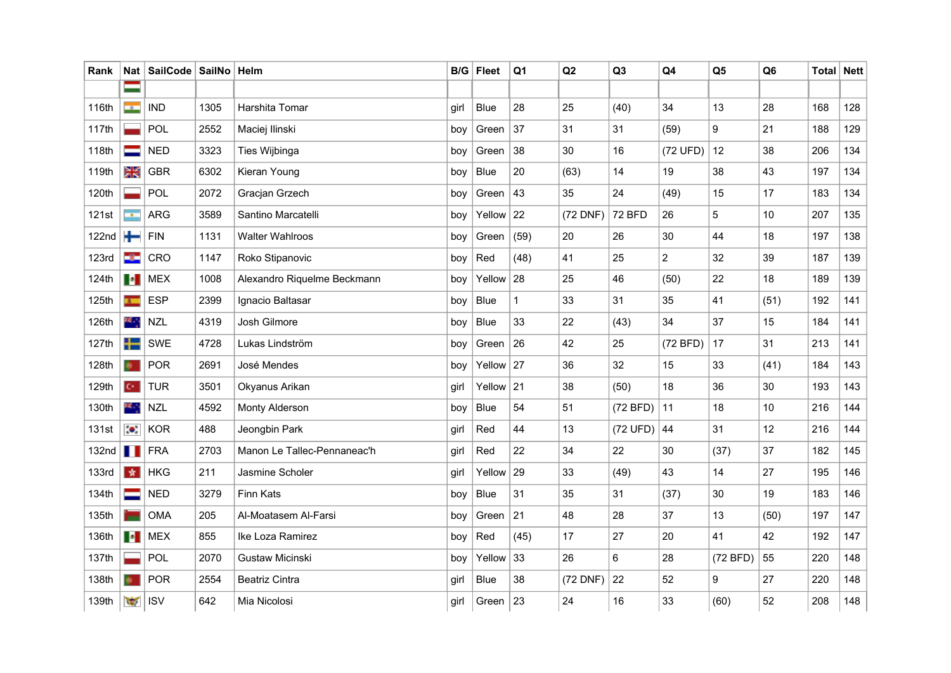| Rank              | Nat                         | SailCode   SailNo   Helm |      |                             |      | $B/G$ Fleet | Q <sub>1</sub> | Q2       | Q <sub>3</sub> | Q4             | Q <sub>5</sub> | Q <sub>6</sub> | Total | <b>Nett</b> |
|-------------------|-----------------------------|--------------------------|------|-----------------------------|------|-------------|----------------|----------|----------------|----------------|----------------|----------------|-------|-------------|
|                   | =                           |                          |      |                             |      |             |                |          |                |                |                |                |       |             |
| 116th             | me se                       | <b>IND</b>               | 1305 | Harshita Tomar              | girl | Blue        | 28             | 25       | (40)           | 34             | 13             | 28             | 168   | 128         |
| 117th             |                             | POL                      | 2552 | Maciej Ilinski              | boy  | Green       | 37             | 31       | 31             | (59)           | 9              | 21             | 188   | 129         |
| 118th             |                             | <b>NED</b>               | 3323 | Ties Wijbinga               | boy  | Green       | 38             | 30       | 16             | (72 UFD)       | 12             | 38             | 206   | 134         |
| 119th             | $\frac{\text{N}}{\text{N}}$ | <b>GBR</b>               | 6302 | Kieran Young                | boy  | Blue        | 20             | (63)     | 14             | 19             | 38             | 43             | 197   | 134         |
| 120th             |                             | POL                      | 2072 | Gracjan Grzech              | boy  | Green       | 43             | 35       | 24             | (49)           | 15             | 17             | 183   | 134         |
| 121st             | $\mathbf{r}$                | <b>ARG</b>               | 3589 | Santino Marcatelli          | boy  | Yellow      | 22             | (72 DNF) | 72 BFD         | 26             | 5              | 10             | 207   | 135         |
| 122 <sub>nd</sub> | ┿                           | <b>FIN</b>               | 1131 | <b>Walter Wahlroos</b>      | boy  | Green       | (59)           | 20       | 26             | 30             | 44             | 18             | 197   | 138         |
| <b>123rd</b>      | ÷                           | CRO                      | 1147 | Roko Stipanovic             | boy  | Red         | (48)           | 41       | 25             | $\overline{c}$ | 32             | 39             | 187   | 139         |
| 124th             | $\bullet$                   | <b>MEX</b>               | 1008 | Alexandro Riquelme Beckmann | boy  | Yellow      | 28             | 25       | 46             | (50)           | 22             | 18             | 189   | 139         |
| 125th             | $\mathbf{r}$                | <b>ESP</b>               | 2399 | Ignacio Baltasar            | boy  | Blue        | $\mathbf{1}$   | 33       | 31             | 35             | 41             | (51)           | 192   | 141         |
| 126th             | 楽山                          | <b>NZL</b>               | 4319 | Josh Gilmore                | boy  | Blue        | 33             | 22       | (43)           | 34             | 37             | 15             | 184   | 141         |
| 127th             | ╈═                          | <b>SWE</b>               | 4728 | Lukas Lindström             | boy  | Green       | 26             | 42       | 25             | (72 BFD)       | 17             | 31             | 213   | 141         |
| 128th             | $\bullet$                   | <b>POR</b>               | 2691 | José Mendes                 | boy  | Yellow $27$ |                | 36       | 32             | 15             | 33             | (41)           | 184   | 143         |
| 129th             | $C^*$                       | <b>TUR</b>               | 3501 | Okyanus Arikan              | girl | Yellow $21$ |                | 38       | (50)           | 18             | 36             | 30             | 193   | 143         |
| 130th             | ж.,                         | <b>NZL</b>               | 4592 | Monty Alderson              | boy  | Blue        | 54             | 51       | $(72 BFD)$ 11  |                | 18             | 10             | 216   | 144         |
| 131st             | $\bullet$                   | <b>KOR</b>               | 488  | Jeongbin Park               | girl | Red         | 44             | 13       | $(72 UFD)$ 44  |                | 31             | 12             | 216   | 144         |
| 132 <sub>nd</sub> | . .                         | <b>FRA</b>               | 2703 | Manon Le Tallec-Pennaneac'h | girl | Red         | 22             | 34       | 22             | 30             | (37)           | 37             | 182   | 145         |
| <b>133rd</b>      | - 会                         | <b>HKG</b>               | 211  | Jasmine Scholer             | girl | Yellow $29$ |                | 33       | (49)           | 43             | 14             | 27             | 195   | 146         |
| 134th             |                             | <b>NED</b>               | 3279 | Finn Kats                   | boy  | Blue        | 31             | 35       | 31             | (37)           | 30             | 19             | 183   | 146         |
| 135th             |                             | <b>OMA</b>               | 205  | Al-Moatasem Al-Farsi        | boy  | Green       | 21             | 48       | 28             | 37             | 13             | (50)           | 197   | 147         |
| 136th             | $\bullet$                   | <b>MEX</b>               | 855  | Ike Loza Ramirez            | boy  | Red         | (45)           | 17       | 27             | 20             | 41             | 42             | 192   | 147         |
| 137th             |                             | POL                      | 2070 | <b>Gustaw Micinski</b>      | boy  | Yellow      | 33             | 26       | 6              | 28             | (72 BFD)       | 55             | 220   | 148         |
| 138th             |                             | <b>POR</b>               | 2554 | <b>Beatriz Cintra</b>       | girl | Blue        | 38             | (72 DNF) | 22             | 52             | 9              | 27             | 220   | 148         |
| 139th             | $\overline{\mathcal{M}}$    | <b>ISV</b>               | 642  | Mia Nicolosi                | girl | Green $ 23$ |                | 24       | 16             | 33             | (60)           | 52             | 208   | 148         |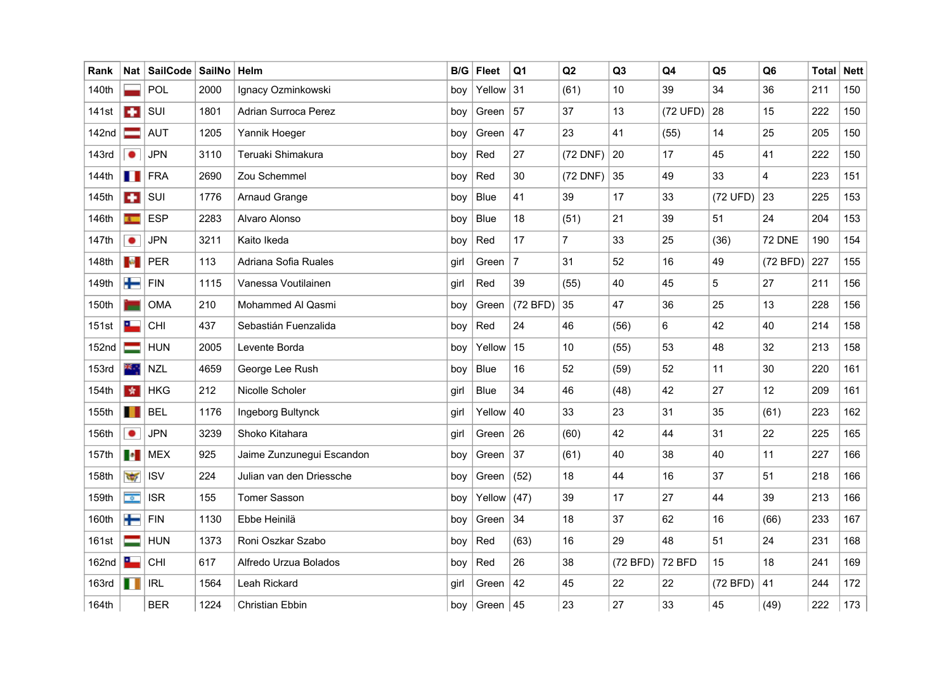| Rank              | Nat l                | ∣ SailCode | <b>SailNo</b> | Helm                      | B/G  | <b>Fleet</b> | Q1             | Q2             | Q3       | Q <sub>4</sub> | Q <sub>5</sub> | Q <sub>6</sub> | <b>Total Nett</b> |     |
|-------------------|----------------------|------------|---------------|---------------------------|------|--------------|----------------|----------------|----------|----------------|----------------|----------------|-------------------|-----|
| 140th             |                      | POL        | 2000          | Ignacy Ozminkowski        | boy  | Yellow       | 31             | (61)           | 10       | 39             | 34             | 36             | 211               | 150 |
| 141st             | $\bullet$            | SUI        | 1801          | Adrian Surroca Perez      | boy  | Green        | 57             | 37             | 13       | (72 UFD)       | 28             | 15             | 222               | 150 |
| 142nd             | ᆖ                    | <b>AUT</b> | 1205          | Yannik Hoeger             | boy  | Green        | 47             | 23             | 41       | (55)           | 14             | 25             | 205               | 150 |
| 143rd             | ٠                    | <b>JPN</b> | 3110          | Teruaki Shimakura         | boy  | Red          | 27             | (72 DNF)       | 20       | 17             | 45             | 41             | 222               | 150 |
| 144th             | ш                    | <b>FRA</b> | 2690          | Zou Schemmel              | boy  | Red          | 30             | (72 DNF)       | 35       | 49             | 33             | $\overline{4}$ | 223               | 151 |
| 145th             | $\bullet$            | SUI        | 1776          | Arnaud Grange             | boy  | <b>Blue</b>  | 41             | 39             | 17       | 33             | (72 UFD)       | 23             | 225               | 153 |
| 146th             |                      | <b>ESP</b> | 2283          | Alvaro Alonso             | boy  | <b>Blue</b>  | 18             | (51)           | 21       | 39             | 51             | 24             | 204               | 153 |
| 147th             | ٠                    | JPN        | 3211          | Kaito Ikeda               | boy  | Red          | 17             | $\overline{7}$ | 33       | 25             | (36)           | <b>72 DNE</b>  | 190               | 154 |
| 148th             | <b>CONTRACTOR</b>    | PER        | 113           | Adriana Sofia Ruales      | girl | Green        | $\overline{7}$ | 31             | 52       | 16             | 49             | (72 BFD)       | 227               | 155 |
| 149th             | $\div$               | FIN        | 1115          | Vanessa Voutilainen       | girl | Red          | 39             | (55)           | 40       | 45             | 5              | 27             | 211               | 156 |
| 150th             |                      | <b>OMA</b> | 210           | Mohammed Al Qasmi         | boy  | Green        | (72 BFD)       | 35             | 47       | 36             | 25             | 13             | 228               | 156 |
| 151st             | ட                    | CHI        | 437           | Sebastián Fuenzalida      | boy  | Red          | 24             | 46             | (56)     | 6              | 42             | 40             | 214               | 158 |
| 152 <sub>nd</sub> |                      | <b>HUN</b> | 2005          | Levente Borda             | boy  | Yellow       | 15             | 10             | (55)     | 53             | 48             | 32             | 213               | 158 |
| 153rd             | 樂心                   | <b>NZL</b> | 4659          | George Lee Rush           | boy  | <b>Blue</b>  | 16             | 52             | (59)     | 52             | 11             | 30             | 220               | 161 |
| 154th             | 女                    | <b>HKG</b> | 212           | Nicolle Scholer           | girl | <b>Blue</b>  | 34             | 46             | (48)     | 42             | 27             | 12             | 209               | 161 |
| 155th             | ш                    | <b>BEL</b> | 1176          | Ingeborg Bultynck         | girl | Yellow       | 40             | 33             | 23       | 31             | 35             | (61)           | 223               | 162 |
| 156th             | ٠                    | <b>JPN</b> | 3239          | Shoko Kitahara            | girl | Green        | 26             | (60)           | 42       | 44             | 31             | 22             | 225               | 165 |
| 157th             | $\bullet$            | <b>MEX</b> | 925           | Jaime Zunzunegui Escandon | boy  | Green        | 37             | (61)           | 40       | 38             | 40             | 11             | 227               | 166 |
| 158th             | $\sqrt{2}$           | <b>ISV</b> | 224           | Julian van den Driessche  | boy  | Green        | (52)           | 18             | 44       | 16             | 37             | 51             | 218               | 166 |
| 159th             | $\overline{\bullet}$ | <b>ISR</b> | 155           | <b>Tomer Sasson</b>       | boy  | Yellow       | (47)           | 39             | 17       | 27             | 44             | 39             | 213               | 166 |
| 160th             | ╈                    | <b>FIN</b> | 1130          | Ebbe Heinilä              | boy  | Green        | 34             | 18             | 37       | 62             | 16             | (66)           | 233               | 167 |
| 161st             |                      | <b>HUN</b> | 1373          | Roni Oszkar Szabo         | boy  | Red          | (63)           | 16             | 29       | 48             | 51             | 24             | 231               | 168 |
| 162nd             | a.                   | CHI        | 617           | Alfredo Urzua Bolados     | boy  | Red          | 26             | 38             | (72 BFD) | <b>72 BFD</b>  | 15             | 18             | 241               | 169 |
| <b>163rd</b>      |                      | <b>IRL</b> | 1564          | Leah Rickard              | girl | Green        | 42             | 45             | 22       | 22             | (72 BFD)       | 41             | 244               | 172 |
| 164th             |                      | <b>BER</b> | 1224          | <b>Christian Ebbin</b>    | boy  | Green        | 45             | 23             | 27       | 33             | 45             | (49)           | 222               | 173 |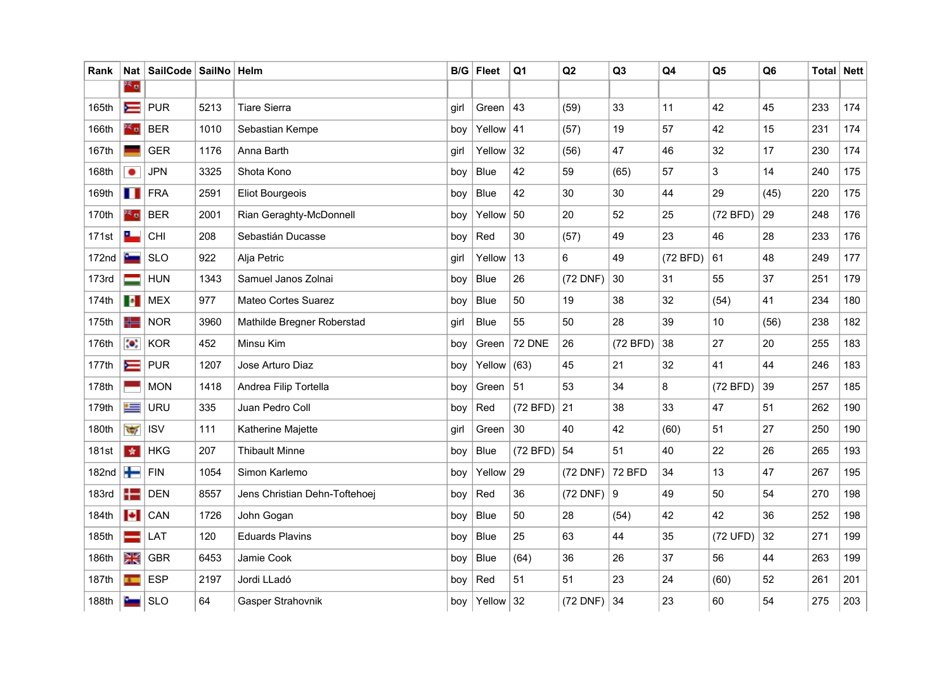| Rank              | Nat                      | SailCode   SailNo   Helm |      |                               |      | $B/G$ Fleet   | Q <sub>1</sub> | Q2           | Q <sub>3</sub> | Q4       | Q <sub>5</sub>  | Q <sub>6</sub> | Total | <b>Nett</b> |
|-------------------|--------------------------|--------------------------|------|-------------------------------|------|---------------|----------------|--------------|----------------|----------|-----------------|----------------|-------|-------------|
|                   | 26 g                     |                          |      |                               |      |               |                |              |                |          |                 |                |       |             |
| 165th             | $\equiv$                 | <b>PUR</b>               | 5213 | <b>Tiare Sierra</b>           | girl | Green         | 43             | (59)         | 33             | 11       | 42              | 45             | 233   | 174         |
| 166th             | 23 a                     | <b>BER</b>               | 1010 | Sebastian Kempe               | boy  | Yellow $ 41$  |                | (57)         | 19             | 57       | 42              | 15             | 231   | 174         |
| 167th             |                          | <b>GER</b>               | 1176 | Anna Barth                    | girl | Yellow        | 32             | (56)         | 47             | 46       | 32              | 17             | 230   | 174         |
| 168th             | $\bullet$                | <b>JPN</b>               | 3325 | Shota Kono                    | boy  | <b>Blue</b>   | 42             | 59           | (65)           | 57       | 3               | 14             | 240   | 175         |
| 169th             | . .                      | <b>FRA</b>               | 2591 | <b>Eliot Bourgeois</b>        | boy  | Blue          | 42             | 30           | 30             | 44       | 29              | (45)           | 220   | 175         |
| 170th             | as a                     | <b>BER</b>               | 2001 | Rian Geraghty-McDonnell       | boy  | Yellow        | 50             | 20           | 52             | 25       | (72 BFD)        | 29             | 248   | 176         |
| 171st             | <u>a –</u>               | CHI                      | 208  | Sebastián Ducasse             | boy  | Red           | 30             | (57)         | 49             | 23       | 46              | 28             | 233   | 176         |
| 172 <sub>nd</sub> | <b>George</b>            | <b>SLO</b>               | 922  | Alja Petric                   | girl | Yellow        | 13             | 6            | 49             | (72 BFD) | 61              | 48             | 249   | 177         |
| 173rd             |                          | <b>HUN</b>               | 1343 | Samuel Janos Zolnai           | boy  | Blue          | 26             | (72 DNF)     | 30             | 31       | 55              | 37             | 251   | 179         |
| 174th             | $\bullet$                | <b>MEX</b>               | 977  | Mateo Cortes Suarez           | boy  | Blue          | 50             | 19           | 38             | 32       | (54)            | 41             | 234   | 180         |
| 175th             | 453                      | <b>NOR</b>               | 3960 | Mathilde Bregner Roberstad    | girl | Blue          | 55             | 50           | 28             | 39       | 10 <sup>1</sup> | (56)           | 238   | 182         |
| 176th             | $\bullet$                | <b>KOR</b>               | 452  | Minsu Kim                     | boy  | Green         | 72 DNE         | 26           | (72 BFD)       | 38       | 27              | 20             | 255   | 183         |
| 177th             | $\equiv$                 | <b>PUR</b>               | 1207 | Jose Arturo Diaz              | boy  | Yellow $(63)$ |                | 45           | 21             | 32       | 41              | 44             | 246   | 183         |
| 178th             |                          | <b>MON</b>               | 1418 | Andrea Filip Tortella         | boy  | Green         | 51             | 53           | 34             | 8        | (72 BFD)        | 39             | 257   | 185         |
| 179th             | $\leftarrow$             | <b>URU</b>               | 335  | Juan Pedro Coll               | boy  | Red           | (72 BFD)       | 21           | 38             | 33       | 47              | 51             | 262   | 190         |
| 180th             | $\sqrt{2}$               | <b>ISV</b>               | 111  | Katherine Majette             | girl | Green         | 30             | 40           | 42             | (60)     | 51              | 27             | 250   | 190         |
| 181st             | 女                        | <b>HKG</b>               | 207  | <b>Thibault Minne</b>         | boy  | Blue          | (72 BFD)       | 54           | 51             | 40       | 22              | 26             | 265   | 193         |
| 182nd             | ┶                        | FIN                      | 1054 | Simon Karlemo                 | boy  | Yellow        | 29             | (72 DNF)     | <b>72 BFD</b>  | 34       | 13              | 47             | 267   | 195         |
| 183rd             | ╄═                       | <b>DEN</b>               | 8557 | Jens Christian Dehn-Toftehoej | boy  | Red           | 36             | $(72$ DNF) 9 |                | 49       | 50              | 54             | 270   | 198         |
| 184th             | $\left  \bullet \right $ | CAN                      | 1726 | John Gogan                    | boy  | <b>Blue</b>   | 50             | 28           | (54)           | 42       | 42              | 36             | 252   | 198         |
| 185th             |                          | LAT                      | 120  | <b>Eduards Plavins</b>        | boy  | Blue          | 25             | 63           | 44             | 35       | (72 UFD)        | 32             | 271   | 199         |
| 186th             | XK<br>XK                 | <b>GBR</b>               | 6453 | Jamie Cook                    | boy  | Blue          | (64)           | 36           | 26             | 37       | 56              | 44             | 263   | 199         |
| 187th             |                          | <b>ESP</b>               | 2197 | Jordi LLadó                   | boy  | Red           | 51             | 51           | 23             | 24       | (60)            | 52             | 261   | 201         |
| 188th             |                          | <b>SLO</b>               | 64   | Gasper Strahovnik             | boy  | Yellow $32$   |                | (72 DNF)     | 34             | 23       | 60              | 54             | 275   | 203         |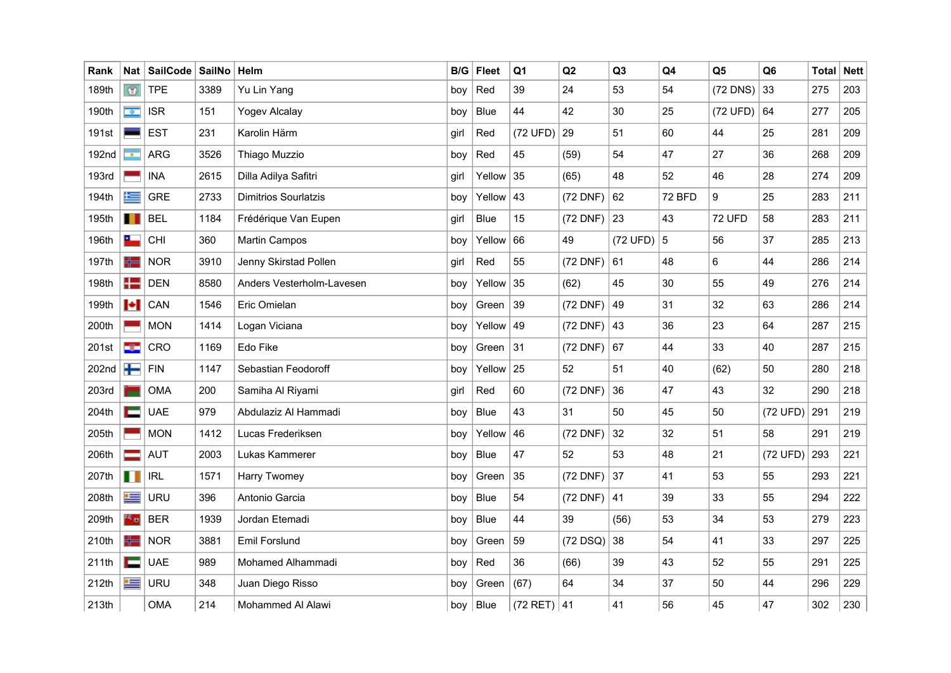| Rank         |                                      | Nat   SailCode   SailNo |      | Helm                        | B/G  | <b>Fleet</b> | Q <sub>1</sub>   | Q2         | Q <sub>3</sub> | Q <sub>4</sub> | Q <sub>5</sub> | Q <sub>6</sub> | <b>Total Nett</b> |     |
|--------------|--------------------------------------|-------------------------|------|-----------------------------|------|--------------|------------------|------------|----------------|----------------|----------------|----------------|-------------------|-----|
| 189th        | $\circ$                              | <b>TPE</b>              | 3389 | Yu Lin Yang                 | boy  | Red          | 39               | 24         | 53             | 54             | $(72$ DNS)     | 33             | 275               | 203 |
| 190th        | $\langle \hat{\mathbf{Q}}_i \rangle$ | <b>ISR</b>              | 151  | Yogev Alcalay               | boy  | <b>Blue</b>  | 44               | 42         | 30             | 25             | (72 UFD)       | 64             | 277               | 205 |
| 191st        |                                      | <b>EST</b>              | 231  | Karolin Härm                | girl | Red          | (72 UFD)         | 29         | 51             | 60             | 44             | 25             | 281               | 209 |
| 192nd        | <b>CONTRACT</b>                      | <b>ARG</b>              | 3526 | Thiago Muzzio               | boy  | Red          | 45               | (59)       | 54             | 47             | 27             | 36             | 268               | 209 |
| <b>193rd</b> |                                      | <b>INA</b>              | 2615 | Dilla Adilya Safitri        | girl | Yellow       | 35               | (65)       | 48             | 52             | 46             | 28             | 274               | 209 |
| 194th        | 生                                    | <b>GRE</b>              | 2733 | <b>Dimitrios Sourlatzis</b> | boy  | Yellow       | 43               | (72 DNF)   | 62             | <b>72 BFD</b>  | 9              | 25             | 283               | 211 |
| 195th        | ш                                    | <b>BEL</b>              | 1184 | Frédérique Van Eupen        | girl | <b>Blue</b>  | 15               | (72 DNF)   | 23             | 43             | <b>72 UFD</b>  | 58             | 283               | 211 |
| 196th        | ட                                    | <b>CHI</b>              | 360  | Martin Campos               | boy  | Yellow       | 66               | 49         | $(72 UFD)$ 5   |                | 56             | 37             | 285               | 213 |
| 197th        | 42                                   | <b>NOR</b>              | 3910 | Jenny Skirstad Pollen       | girl | Red          | 55               | (72 DNF)   | 61             | 48             | 6              | 44             | 286               | 214 |
| 198th        | $+$                                  | <b>DEN</b>              | 8580 | Anders Vesterholm-Lavesen   | boy  | Yellow       | 35               | (62)       | 45             | 30             | 55             | 49             | 276               | 214 |
| 199th        | $\left  \bullet \right $             | CAN                     | 1546 | Eric Omielan                | boy  | Green        | 39               | (72 DNF)   | 49             | 31             | 32             | 63             | 286               | 214 |
| 200th        |                                      | <b>MON</b>              | 1414 | Logan Viciana               | boy  | Yellow       | 49               | $(72$ DNF) | 43             | 36             | 23             | 64             | 287               | 215 |
| 201st        | -3-                                  | CRO                     | 1169 | Edo Fike                    | boy  | Green        | 31               | (72 DNF)   | 67             | 44             | 33             | 40             | 287               | 215 |
| 202nd        | ╈                                    | FIN                     | 1147 | Sebastian Feodoroff         | boy  | Yellow       | 25               | 52         | 51             | 40             | (62)           | 50             | 280               | 218 |
| 203rd        |                                      | <b>OMA</b>              | 200  | Samiha Al Riyami            | girl | Red          | 60               | (72 DNF)   | 36             | 47             | 43             | 32             | 290               | 218 |
| 204th        | <b>TELE</b>                          | <b>UAE</b>              | 979  | Abdulaziz Al Hammadi        | boy  | <b>Blue</b>  | 43               | 31         | 50             | 45             | 50             | (72 UFD)       | 291               | 219 |
| 205th        |                                      | <b>MON</b>              | 1412 | Lucas Frederiksen           | boy  | Yellow       | 46               | (72 DNF)   | 32             | 32             | 51             | 58             | 291               | 219 |
| 206th        |                                      | <b>AUT</b>              | 2003 | Lukas Kammerer              | boy  | <b>Blue</b>  | 47               | 52         | 53             | 48             | 21             | (72 UFD)       | 293               | 221 |
| 207th        | <b>TH</b>                            | <b>IRL</b>              | 1571 | Harry Twomey                | boy  | Green        | 35               | (72 DNF)   | 37             | 41             | 53             | 55             | 293               | 221 |
| 208th        | $\leftarrow$                         | <b>URU</b>              | 396  | Antonio Garcia              | boy  | <b>Blue</b>  | 54               | $(72$ DNF) | 41             | 39             | 33             | 55             | 294               | 222 |
| 209th        | $\frac{3}{2}$ 0                      | <b>BER</b>              | 1939 | Jordan Etemadi              | boy  | <b>Blue</b>  | 44               | 39         | (56)           | 53             | 34             | 53             | 279               | 223 |
| 210th        | H=                                   | <b>NOR</b>              | 3881 | Emil Forslund               | boy  | Green        | 59               | $(72$ DSQ) | 38             | 54             | 41             | 33             | 297               | 225 |
| 211th        | Е                                    | <b>UAE</b>              | 989  | Mohamed Alhammadi           | boy  | Red          | 36               | (66)       | 39             | 43             | 52             | 55             | 291               | 225 |
| 212th        | ≔                                    | <b>URU</b>              | 348  | Juan Diego Risso            | boy  | Green        | (67)             | 64         | 34             | 37             | 50             | 44             | 296               | 229 |
| 213th        |                                      | <b>OMA</b>              | 214  | Mohammed Al Alawi           | boy  | <b>Blue</b>  | $(72$ RET) $ 41$ |            | 41             | 56             | 45             | 47             | 302               | 230 |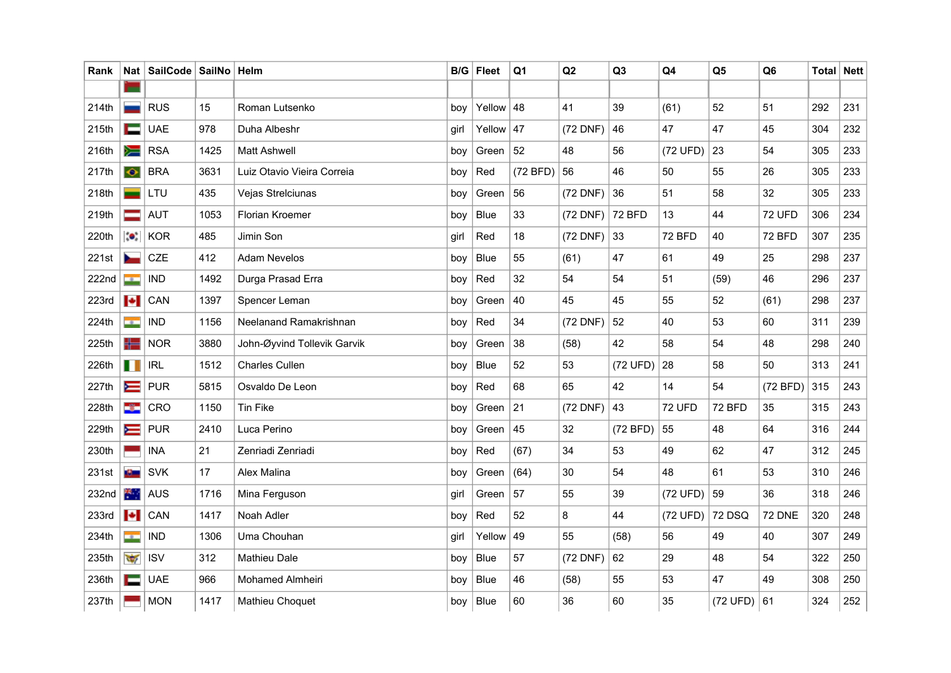| Rank  | Nat                        | SailCode   SailNo   Helm |      |                             |      | $B/G$ Fleet  | Q <sub>1</sub> | Q2       | Q <sub>3</sub> | Q4            | Q <sub>5</sub> | Q <sub>6</sub> | Total | <b>Nett</b> |
|-------|----------------------------|--------------------------|------|-----------------------------|------|--------------|----------------|----------|----------------|---------------|----------------|----------------|-------|-------------|
|       |                            |                          |      |                             |      |              |                |          |                |               |                |                |       |             |
| 214th |                            | <b>RUS</b>               | 15   | Roman Lutsenko              | boy  | Yellow $ 48$ |                | 41       | 39             | (61)          | 52             | 51             | 292   | 231         |
| 215th | ▬                          | <b>UAE</b>               | 978  | Duha Albeshr                | girl | Yellow $ 47$ |                | (72 DNF) | 46             | 47            | 47             | 45             | 304   | 232         |
| 216th | ➣                          | <b>RSA</b>               | 1425 | <b>Matt Ashwell</b>         | boy  | Green        | 52             | 48       | 56             | (72 UFD)      | 23             | 54             | 305   | 233         |
| 217th | $\bullet$                  | <b>BRA</b>               | 3631 | Luiz Otavio Vieira Correia  | boy  | Red          | (72 BFD)       | 56       | 46             | 50            | 55             | 26             | 305   | 233         |
| 218th |                            | LTU                      | 435  | Vejas Strelciunas           | boy  | Green        | 56             | (72 DNF) | 36             | 51            | 58             | 32             | 305   | 233         |
| 219th |                            | <b>AUT</b>               | 1053 | <b>Florian Kroemer</b>      | boy  | <b>Blue</b>  | 33             | (72 DNF) | 72 BFD         | 13            | 44             | <b>72 UFD</b>  | 306   | 234         |
| 220th | $\bullet$                  | <b>KOR</b>               | 485  | Jimin Son                   | girl | Red          | 18             | (72 DNF) | 33             | <b>72 BFD</b> | 40             | <b>72 BFD</b>  | 307   | 235         |
| 221st |                            | CZE                      | 412  | <b>Adam Nevelos</b>         | boy  | <b>Blue</b>  | 55             | (61)     | 47             | 61            | 49             | 25             | 298   | 237         |
| 222nd | ÷                          | <b>IND</b>               | 1492 | Durga Prasad Erra           | boy  | Red          | 32             | 54       | 54             | 51            | (59)           | 46             | 296   | 237         |
| 223rd | $\left\  \bullet \right\ $ | CAN                      | 1397 | Spencer Leman               | boy  | Green        | 40             | 45       | 45             | 55            | 52             | (61)           | 298   | 237         |
| 224th | <b>CONTRACT</b>            | <b>IND</b>               | 1156 | Neelanand Ramakrishnan      | boy  | Red          | 34             | (72 DNF) | 52             | 40            | 53             | 60             | 311   | 239         |
| 225th | ╬═                         | <b>NOR</b>               | 3880 | John-Øyvind Tollevik Garvik | boy  | Green        | 38             | (58)     | 42             | 58            | 54             | 48             | 298   | 240         |
| 226th | <b>THE</b>                 | <b>IRL</b>               | 1512 | <b>Charles Cullen</b>       | boy  | Blue         | 52             | 53       | $(72 UFD)$ 28  |               | 58             | 50             | 313   | 241         |
| 227th | $\equiv$                   | <b>PUR</b>               | 5815 | Osvaldo De Leon             | boy  | Red          | 68             | 65       | 42             | 14            | 54             | (72 BFD)       | 315   | 243         |
| 228th | ÷                          | CRO                      | 1150 | <b>Tin Fike</b>             | boy  | Green        | 21             | (72 DNF) | 43             | <b>72 UFD</b> | 72 BFD         | 35             | 315   | 243         |
| 229th | ⋿                          | <b>PUR</b>               | 2410 | Luca Perino                 | boy  | Green        | 45             | 32       | (72 BFD)       | 55            | 48             | 64             | 316   | 244         |
| 230th |                            | <b>INA</b>               | 21   | Zenriadi Zenriadi           | boy  | Red          | (67)           | 34       | 53             | 49            | 62             | 47             | 312   | 245         |
| 231st | <b>College</b>             | <b>SVK</b>               | 17   | Alex Malina                 | boy  | Green        | (64)           | 30       | 54             | 48            | 61             | 53             | 310   | 246         |
| 232nd | 樂.                         | <b>AUS</b>               | 1716 | Mina Ferguson               | girl | Green        | 57             | 55       | 39             | (72 UFD)      | 59             | 36             | 318   | 246         |
| 233rd | $\left  \bullet \right $   | CAN                      | 1417 | Noah Adler                  | boy  | Red          | 52             | 8        | 44             | (72 UFD)      | 72 DSQ         | <b>72 DNE</b>  | 320   | 248         |
| 234th | me in                      | <b>IND</b>               | 1306 | Uma Chouhan                 | girl | Yellow       | 49             | 55       | (58)           | 56            | 49             | 40             | 307   | 249         |
| 235th | $\overline{\mathcal{C}}$   | <b>ISV</b>               | 312  | <b>Mathieu Dale</b>         | boy  | Blue         | 57             | (72 DNF) | 62             | 29            | 48             | 54             | 322   | 250         |
| 236th | Е                          | <b>UAE</b>               | 966  | Mohamed Almheiri            | boy  | <b>Blue</b>  | 46             | (58)     | 55             | 53            | 47             | 49             | 308   | 250         |
| 237th |                            | <b>MON</b>               | 1417 | Mathieu Choquet             | boy  | Blue         | 60             | 36       | 60             | 35            | (72 UFD) 61    |                | 324   | 252         |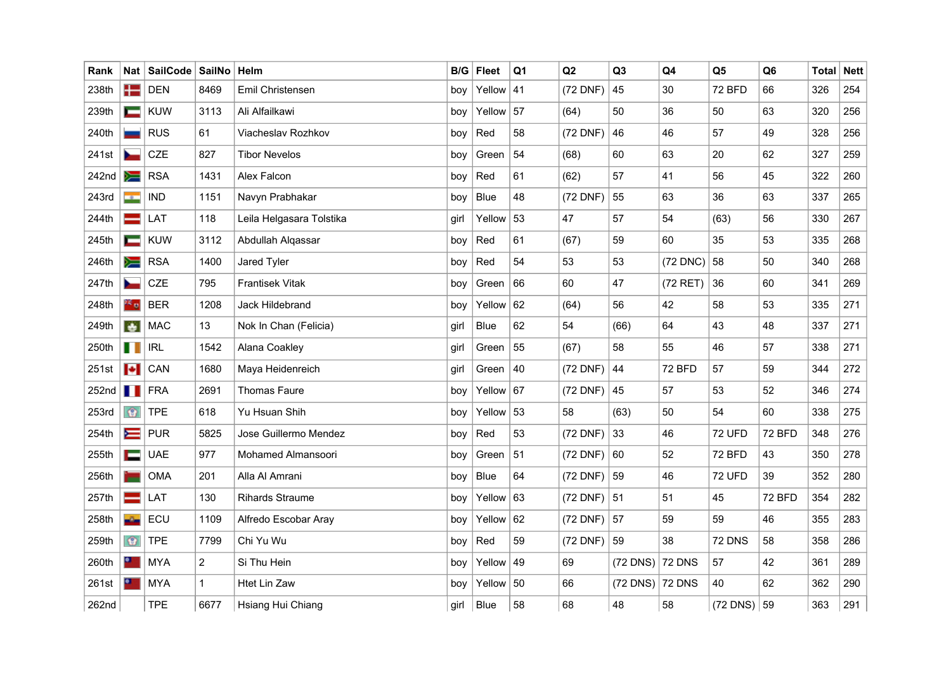| Rank              | Nat l           | SailCode   SailNo |                | Helm                     | B/G  | <b>Fleet</b> | Q1 | Q2         | Q3                   | Q <sub>4</sub>   | Q <sub>5</sub>   | Q <sub>6</sub> | <b>Total Nett</b> |     |
|-------------------|-----------------|-------------------|----------------|--------------------------|------|--------------|----|------------|----------------------|------------------|------------------|----------------|-------------------|-----|
| 238th             | $+$             | <b>DEN</b>        | 8469           | Emil Christensen         | boy  | Yellow $ 41$ |    | (72 DNF)   | 45                   | 30               | <b>72 BFD</b>    | 66             | 326               | 254 |
| 239th             | ⊏               | <b>KUW</b>        | 3113           | Ali Alfailkawi           | boy  | Yellow       | 57 | (64)       | 50                   | 36               | 50               | 63             | 320               | 256 |
| 240th             |                 | <b>RUS</b>        | 61             | Viacheslav Rozhkov       | boy  | Red          | 58 | (72 DNF)   | 46                   | 46               | 57               | 49             | 328               | 256 |
| 241st             |                 | <b>CZE</b>        | 827            | <b>Tibor Nevelos</b>     | boy  | Green        | 54 | (68)       | 60                   | 63               | 20               | 62             | 327               | 259 |
| 242nd             | ≽≡              | <b>RSA</b>        | 1431           | Alex Falcon              | boy  | Red          | 61 | (62)       | 57                   | 41               | 56               | 45             | 322               | 260 |
| 243rd             | <b>CONTRACT</b> | <b>IND</b>        | 1151           | Navyn Prabhakar          | boy  | <b>Blue</b>  | 48 | (72 DNF)   | 55                   | 63               | 36               | 63             | 337               | 265 |
| 244th             |                 | LAT               | 118            | Leila Helgasara Tolstika | girl | Yellow       | 53 | 47         | 57                   | 54               | (63)             | 56             | 330               | 267 |
| 245th             | ᆖ               | <b>KUW</b>        | 3112           | Abdullah Alqassar        | boy  | Red          | 61 | (67)       | 59                   | 60               | 35               | 53             | 335               | 268 |
| 246th             | ▓               | <b>RSA</b>        | 1400           | Jared Tyler              | boy  | Red          | 54 | 53         | 53                   | $(72$ DNC) $ 58$ |                  | 50             | 340               | 268 |
| 247th             |                 | <b>CZE</b>        | 795            | <b>Frantisek Vitak</b>   | boy  | Green        | 66 | 60         | 47                   | (72 RET)         | 36               | 60             | 341               | 269 |
| 248th             | es o            | <b>BER</b>        | 1208           | <b>Jack Hildebrand</b>   | boy  | Yellow       | 62 | (64)       | 56                   | 42               | 58               | 53             | 335               | 271 |
| 249th             |                 | <b>MAC</b>        | 13             | Nok In Chan (Felicia)    | girl | <b>Blue</b>  | 62 | 54         | (66)                 | 64               | 43               | 48             | 337               | 271 |
| 250th             | H III           | <b>IRL</b>        | 1542           | Alana Coakley            | girl | Green        | 55 | (67)       | 58                   | 55               | 46               | 57             | 338               | 271 |
| 251st             | <b>I</b>        | CAN               | 1680           | Maya Heidenreich         | girl | Green        | 40 | $(72$ DNF) | 44                   | <b>72 BFD</b>    | 57               | 59             | 344               | 272 |
| 252 <sub>nd</sub> | H               | <b>FRA</b>        | 2691           | <b>Thomas Faure</b>      | boy  | Yellow       | 67 | (72 DNF)   | 45                   | 57               | 53               | 52             | 346               | 274 |
| 253rd             | $\odot$         | <b>TPE</b>        | 618            | Yu Hsuan Shih            | boy  | Yellow       | 53 | 58         | (63)                 | 50               | 54               | 60             | 338               | 275 |
| 254th             | $\equiv$        | <b>PUR</b>        | 5825           | Jose Guillermo Mendez    | boy  | Red          | 53 | (72 DNF)   | 33                   | 46               | <b>72 UFD</b>    | <b>72 BFD</b>  | 348               | 276 |
| 255th             | i —             | <b>UAE</b>        | 977            | Mohamed Almansoori       | boy  | Green        | 51 | $(72$ DNF) | 60                   | 52               | <b>72 BFD</b>    | 43             | 350               | 278 |
| 256th             |                 | <b>OMA</b>        | 201            | Alla Al Amrani           | boy  | <b>Blue</b>  | 64 | (72 DNF)   | 59                   | 46               | <b>72 UFD</b>    | 39             | 352               | 280 |
| 257th             |                 | LAT               | 130            | <b>Rihards Straume</b>   | boy  | Yellow       | 63 | $(72$ DNF) | 51                   | 51               | 45               | <b>72 BFD</b>  | 354               | 282 |
| 258th             |                 | ECU               | 1109           | Alfredo Escobar Aray     | boy  | Yellow       | 62 | $(72$ DNF) | 57                   | 59               | 59               | 46             | 355               | 283 |
| 259th             | $\circ$         | <b>TPE</b>        | 7799           | Chi Yu Wu                | boy  | Red          | 59 | (72 DNF)   | 59                   | 38               | 72 DNS           | 58             | 358               | 286 |
| 260th             | $\bullet$       | <b>MYA</b>        | $\overline{2}$ | Si Thu Hein              | boy  | Yellow       | 49 | 69         | (72 DNS)             | 72 DNS           | 57               | 42             | 361               | 289 |
| 261st             | $\bullet$       | <b>MYA</b>        | $\mathbf{1}$   | Htet Lin Zaw             | boy  | Yellow $50$  |    | 66         | $(72$ DNS) $ 72$ DNS |                  | 40               | 62             | 362               | 290 |
| 262nd             |                 | <b>TPE</b>        | 6677           | Hsiang Hui Chiang        | girl | <b>Blue</b>  | 58 | 68         | 48                   | 58               | $(72$ DNS) $ 59$ |                | 363               | 291 |